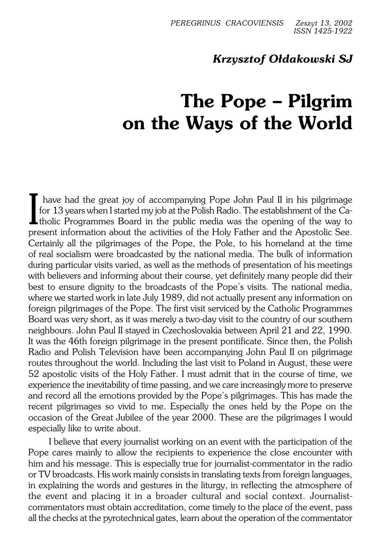## *Krzysztof Ołdakowski SJ*

## **The Pope – Pilgrim on the Ways of the World**

I have had the great joy of accompanying Pope John Paul II in his pilgrimage<br>for 13 years when I started my job at the Polish Radio. The establishment of the Ca-<br>tholic Programmes Board in the public media was the opening have had the great joy of accompanying Pope John Paul II in his pilgrimage for 13 years when I started my job at the Polish Radio. The establishment of the Capresent information about the activities of the Holy Father and the Apostolic See. Certainly all the pilgrimages of the Pope, the Pole, to his homeland at the time ofreal socialism were broadcasted by the national media. The bulk of information during particular visits varied, as well as the methods of presentation of his meetings with believers and informing about their course, yet definitely many people did their best to ensure dignity to the broadcasts of the Pope's visits. The national media, where we started work in late July 1989, did not actually present any information on foreign pilgrimages of the Pope. The first visit serviced by the Catholic Programmes Board was very short, as it was merely a two−day visit to the country of our southern neighbours. John Paul II stayed in Czechoslovakia between April 21 and 22, 1990. It was the 46th foreign pilgrimage in the present pontificate. Since then, the Polish Radio and Polish Television have been accompanying John Paul II on pilgrimage routes throughout the world. Including the last visit to Poland in August, these were 52 apostolic visits of the Holy Father. I must admit that in the course of time, we experience the inevitability of time passing, and we care increasingly more to preserve and record all the emotions provided by the Pope's pilgrimages. This has made the recent pilgrimages so vivid to me. Especially the ones held by the Pope on the occasion of the Great Jubilee of the year 2000. These are the pilgrimages I would especially like to write about.

I believe that every journalist working on an event with the participation of the Pope cares mainly to allow the recipients to experience the close encounter with him and his message. This is especially true for journalist−commentator in the radio or TV broadcasts. His work mainly consists in translating texts from foreign languages, in explaining the words and gestures in the liturgy, in reflecting the atmosphere of the event and placing it in a broader cultural and social context. Journalist− commentators must obtain accreditation, come timely to the place of the event, pass all the checks at the pyrotechnical gates, learn about the operation of the commentator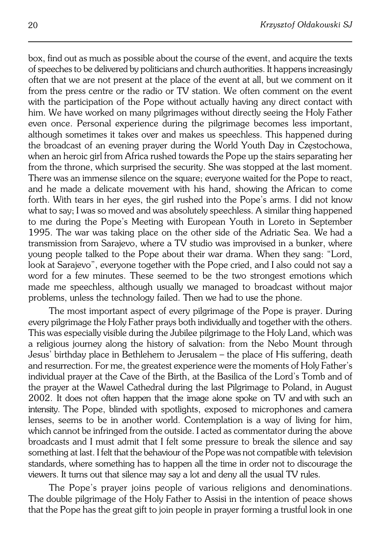box, find out as much as possible about the course of the event, and acquire the texts of speeches to be delivered by politicians and church authorities. It happens increasingly often that we are not present at the place of the event at all, but we comment on it from the press centre or the radio or TV station. We often comment on the event with the participation of the Pope without actually having any direct contact with him. We have worked on many pilgrimages without directly seeing the Holy Father even once. Personal experience during the pilgrimage becomes less important, although sometimes it takes over and makes us speechless. This happened during the broadcast of an evening prayer during the World Youth Day in Częstochowa, when an heroic girl from Africa rushed towards the Pope up the stairs separating her from the throne, which surprised the security. She was stopped at the last moment. There was an immense silence on the square; everyone waited for the Pope to react, and he made a delicate movement with his hand, showing theAfrican to come forth. With tears in her eyes, the girl rushed into the Pope's arms. I did not know what to say; I was so moved and was absolutely speechless. A similar thing happened to me during the Pope's Meeting with European Youth in Loreto in September 1995. The war was taking place on the other side of the Adriatic Sea. Wehad a transmission from Sarajevo, where a TV studio was improvised in a bunker, where young people talked to the Pope about their war drama. When they sang: "Lord, look at Sarajevo", everyone together with the Pope cried, and I also could not say a word for a few minutes. These seemed to be the two strongest emotions which made me speechless, although usually we managed to broadcast without major problems, unless the technology failed. Then we had to use the phone.

The most important aspect of every pilgrimage of the Pope is prayer. During every pilgrimage the Holy Father prays both individually and together with the others. This was especially visible during the Jubilee pilgrimage to the Holy Land, which was a religious journey along the history of salvation: from the Nebo Mount through Jesus' birthday place in Bethlehem to Jerusalem – the place of His suffering, death and resurrection. For me, the greatest experience were the moments of Holy Father's individual prayer at the Cave of the Birth, at the Basilica of the Lord's Tomb and of the prayer at the Wawel Cathedral during the last Pilgrimage to Poland, in August 2002. It does not often happen that the image alone spoke on TV andwith such an intensity. The Pope, blinded with spotlights, exposed to microphones and camera lenses, seems to be in another world. Contemplation is a way of living for him, which cannot be infringed from the outside. I acted as commentator during the above broadcasts and I must admit that I felt some pressure to break the silence and say something at last. I felt that the behaviour of the Pope was not compatible with television standards, where something has to happen all the time in order not to discourage the viewers. It turns out that silence may say a lot and deny all the usual TV rules.

The Pope's prayer joins people of various religions and denominations. The double pilgrimage of the Holy Father to Assisi in the intention of peace shows that the Pope has the great gift to join people in prayer forming a trustful look in one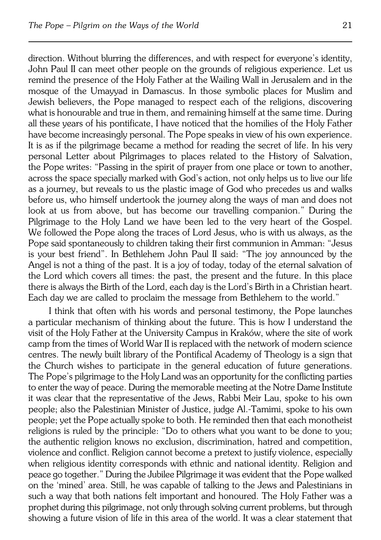direction. Without blurring the differences, and with respect for everyone's identity, John Paul II can meet other people on the grounds of religious experience. Let us remind the presence of the Holy Father at the Wailing Wall in Jerusalem and in the mosque of the Umayyad in Damascus. In those symbolic places for Muslim and Jewish believers, the Pope managed to respect each of the religions, discovering what is honourable and true in them, and remaining himself at the same time. During all these years of his pontificate, I have noticed that the homilies of the Holy Father have become increasingly personal. The Pope speaks in view of his own experience. It is as if the pilgrimage became a method for reading the secret of life. In his very personal Letter about Pilgrimages to places related to the History of Salvation, the Pope writes: "Passing in the spirit of prayer from one place or town to another, across the space specially marked with God's action, not only helps us to live our life as ajourney, but reveals to us the plastic image of God who precedes us and walks before us, who himself undertook the journey along the ways of man and does not look at us from above, but has become our travelling companion." During the Pilgrimage to the Holy Land we have been led to the very heart of the Gospel. We followed the Pope along the traces of Lord Jesus, who is with us always, as the Pope said spontaneously to children taking their first communion in Amman: "Jesus is your best friend". In Bethlehem John Paul II said: "The joy announced by the Angel is not a thing of the past. It is a joy of today, today of the eternal salvation of the Lord which covers all times: the past, the present and the future. In this place there is always the Birth of the Lord, each day is the Lord's Birth in a Christian heart. Each day we are called to proclaim the message from Bethlehem to the world."

I think that often with his words and personal testimony, the Pope launches aparticular mechanism of thinking about the future. This is how I understand the visit of the Holy Father at the University Campus in Kraków, where the site of work camp from the times of World War II is replaced with the network of modern science centres. The newly built library of the Pontifical Academy of Theology is a sign that the Church wishes to participate in the general education of future generations. The Pope's pilgrimage to the Holy Land was an opportunity for the conflicting parties to enter the way of peace. During the memorable meeting at the Notre Dame Institute it was clear that the representative of the Jews, Rabbi Meir Lau, spoke to his own people; also the Palestinian Minister of Justice, judge Al.−Tamimi, spoke to his own people; yet the Pope actually spoke to both. He reminded then that each monotheist religions is ruled by the principle: "Do to others what you want to be done to you; the authentic religion knows no exclusion, discrimination, hatred and competition, violence and conflict. Religion cannot become a pretext to justify violence, especially when religious identity corresponds with ethnic and national identity. Religion and peace go together." During the Jubilee Pilgrimage it was evident that the Pope walked on the 'mined' area. Still, he was capable of talking to the Jews and Palestinians in such a way that both nations felt important and honoured. The Holy Father was a prophet during this pilgrimage, not only through solving current problems, but through showing a future vision of life in this area of the world. It was aclear statement that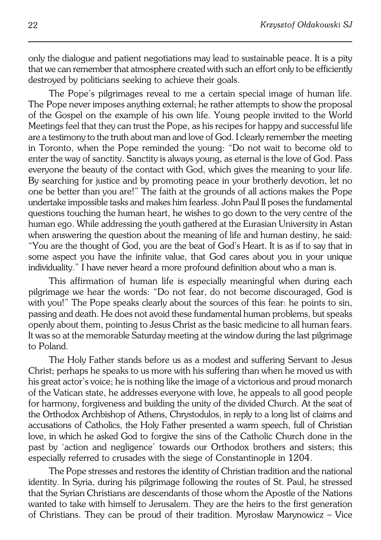only the dialogue and patient negotiations may lead to sustainable peace. It is a pity that we can remember that atmosphere created with such an effort only to be efficiently destroyed by politicians seeking to achieve their goals.

The Pope's pilgrimages reveal to me a certain special image of human life. The Pope never imposes anything external; he rather attempts to show the proposal of the Gospel on the example of his own life. Young people invited to the World Meetings feel that they can trust the Pope, as his recipes for happy and successful life are a testimony to the truth about man and love of God. I clearly remember the meeting in Toronto, when the Pope reminded the young: "Do not wait to become old to enter the way of sanctity. Sanctity is always young, as eternal is the love of God. Pass everyone the beauty of the contact with God, which gives the meaning to your life. By searching for justice and by promoting peace in your brotherly devotion, let no one be better than you are!" The faith at the grounds of all actions makes the Pope undertake impossible tasks and makes him fearless. John Paul II poses the fundamental questions touching the human heart, he wishes to go down to the very centre of the human ego. While addressing the youth gathered at the Eurasian University in Astan when answering the question about the meaning of life and human destiny, he said: "You are the thought of God, you are the beat of God's Heart. It is as if to say that in some aspect you have the infinite value, that God cares about you in your unique individuality." I have never heard a more profound definition about who aman is.

This affirmation of human life is especially meaningful when during each pilgrimage we hear the words: "Do not fear, do not become discouraged, God is with you!" The Pope speaks clearly about the sources of this fear: he points to sin, passing and death. He does not avoid these fundamental human problems, but speaks openly about them, pointing to Jesus Christ as the basic medicine to all human fears. It was so at the memorable Saturday meeting at the window during the last pilgrimage to Poland.

The Holy Father stands before us as a modest and suffering Servant to Jesus Christ; perhaps he speaks to us more with his suffering than when he moved us with his great actor's voice; he is nothing like the image of a victorious and proud monarch of the Vatican state, he addresses everyone with love, he appeals to all good people for harmony, forgiveness and building the unity of the divided Church. At the seat of the Orthodox Archbishop of Athens, Chrystodulos, in reply to a long list of claims and accusations of Catholics, the Holy Father presented a warm speech, full of Christian love, in which he asked God to forgive the sins of the Catholic Church done in the past by 'action and negligence' towards our Orthodox brothers and sisters; this especially referred to crusades with the siege of Constantinople in 1204.

The Pope stresses and restores the identity of Christian tradition and the national identity. In Syria, during his pilgrimage following the routes of St. Paul, he stressed that the Syrian Christians are descendants of those whom the Apostle of the Nations wanted to take with himself to Jerusalem. They are the heirs to the first generation of Christians. They can be proud of their tradition. Myrosław Marynowicz – Vice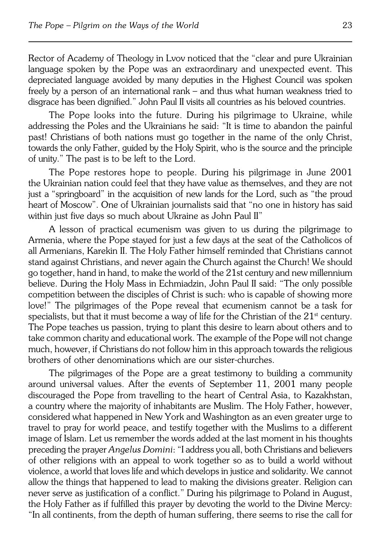Rector of Academy of Theology in Lvov noticed that the "clear and pure Ukrainian language spoken by the Pope was an extraordinary and unexpected event. This depreciated language avoided by many deputies in the Highest Council was spoken freely by a person of an international rank – and thus what human weakness tried to disgrace has been dignified." John Paul II visits all countries as his beloved countries.

The Pope looks into the future. During his pilgrimage to Ukraine, while addressing the Poles and the Ukrainians he said: "It is time to abandon the painful past! Christians of both nations must go together in the name of the only Christ, towards the only Father, guided by the Holy Spirit, who is the source and the principle ofunity." The past is to be left to the Lord.

The Pope restores hope to people. During his pilgrimage in June 2001 theUkrainian nation could feel that they have value as themselves, and they are not just a"springboard" in the acquisition of new lands for the Lord, such as "the proud heart of Moscow". One of Ukrainian journalists said that "no one in history has said within just five days so much about Ukraine as John Paul II"

A lesson of practical ecumenism was given to us during the pilgrimage to Armenia, where the Pope stayed for just a few days at the seat of the Catholicos of all Armenians, Karekin II. The Holy Father himself reminded that Christians cannot stand against Christians, and never again the Church against the Church! We should go together, hand in hand, to make the world of the 21st century and new millennium believe. During the Holy Mass in Echmiadzin, John Paul II said: "The only possible competition between the disciples of Christ is such: who is capable of showing more love!" The pilgrimages of the Pope reveal that ecumenism cannot be atask for specialists, but that it must become a way of life for the Christian of the  $21<sup>st</sup>$  century. The Pope teaches us passion, trying to plant this desire to learn about others and to take common charity and educational work. The example of the Pope will not change much, however, if Christians do not follow him in this approach towards the religious brothers of other denominations which are our sister−churches.

The pilgrimages of the Pope are a great testimony to building a community around universal values. After the events of September 11, 2001 many people discouraged the Pope from travelling to the heart of Central Asia, to Kazakhstan, a country where the majority of inhabitants are Muslim. The Holy Father, however, considered what happened in New York and Washington as an even greater urge to travel to pray for world peace, and testify together with the Muslims to a different image of Islam. Let us remember the words added at the last moment in his thoughts preceding the prayer *Angelus Domini*: "I address you all, both Christians and believers of other religions with an appeal to work together so as to build a world without violence, a world that loves life and which develops in justice and solidarity. Wecannot allow the things that happened to lead to making the divisions greater. Religion can never serve as justification of a conflict." During his pilgrimage to Poland in August, the Holy Father as if fulfilled this prayer by devoting the world to the Divine Mercy: "In all continents, from the depth of human suffering, there seems to rise thecall for